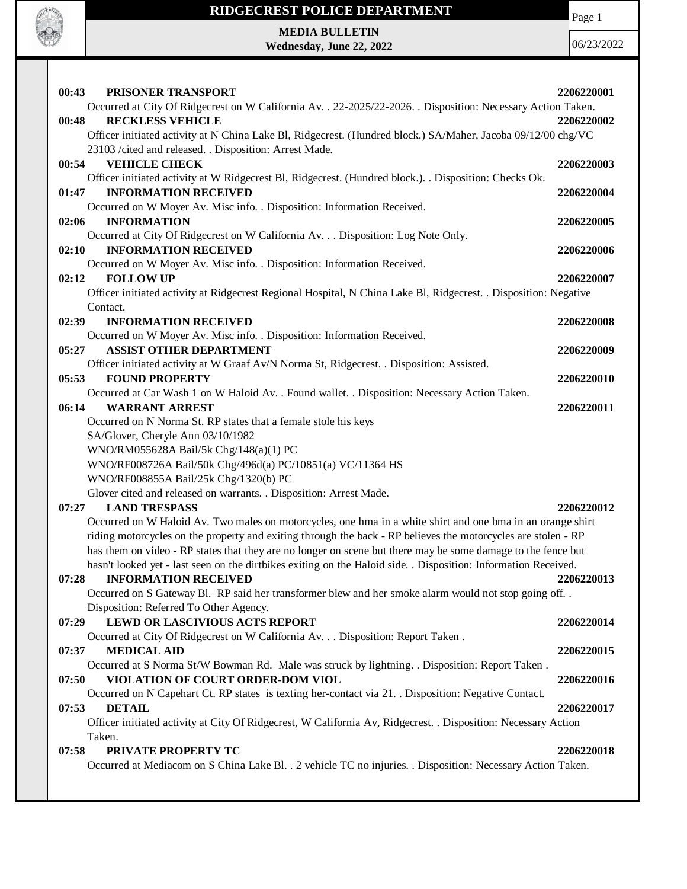

**MEDIA BULLETIN Wednesday, June 22, 2022**

**CALL OF OFFICER** 

| 00:43<br><b>PRISONER TRANSPORT</b>                                                                               | 2206220001 |
|------------------------------------------------------------------------------------------------------------------|------------|
| Occurred at City Of Ridgecrest on W California Av. . 22-2025/22-2026. . Disposition: Necessary Action Taken.     |            |
| 00:48<br><b>RECKLESS VEHICLE</b>                                                                                 | 2206220002 |
| Officer initiated activity at N China Lake Bl, Ridgecrest. (Hundred block.) SA/Maher, Jacoba 09/12/00 chg/VC     |            |
| 23103 /cited and released. . Disposition: Arrest Made.                                                           |            |
| 00:54<br><b>VEHICLE CHECK</b>                                                                                    | 2206220003 |
| Officer initiated activity at W Ridgecrest Bl, Ridgecrest. (Hundred block.). . Disposition: Checks Ok.           |            |
| <b>INFORMATION RECEIVED</b><br>01:47                                                                             | 2206220004 |
| Occurred on W Moyer Av. Misc info. . Disposition: Information Received.                                          |            |
| 02:06<br><b>INFORMATION</b>                                                                                      | 2206220005 |
| Occurred at City Of Ridgecrest on W California Av. Disposition: Log Note Only.                                   |            |
| <b>INFORMATION RECEIVED</b><br>02:10                                                                             | 2206220006 |
| Occurred on W Moyer Av. Misc info. . Disposition: Information Received.                                          |            |
| <b>FOLLOW UP</b><br>02:12                                                                                        | 2206220007 |
| Officer initiated activity at Ridgecrest Regional Hospital, N China Lake Bl, Ridgecrest. . Disposition: Negative |            |
| Contact.                                                                                                         |            |
| 02:39<br><b>INFORMATION RECEIVED</b>                                                                             | 2206220008 |
| Occurred on W Moyer Av. Misc info. . Disposition: Information Received.                                          |            |
| <b>ASSIST OTHER DEPARTMENT</b><br>05:27                                                                          | 2206220009 |
| Officer initiated activity at W Graaf Av/N Norma St, Ridgecrest. . Disposition: Assisted.                        |            |
| 05:53<br><b>FOUND PROPERTY</b>                                                                                   | 2206220010 |
| Occurred at Car Wash 1 on W Haloid Av. . Found wallet. . Disposition: Necessary Action Taken.                    |            |
| 06:14<br><b>WARRANT ARREST</b>                                                                                   | 2206220011 |
| Occurred on N Norma St. RP states that a female stole his keys                                                   |            |
| SA/Glover, Cheryle Ann 03/10/1982                                                                                |            |
| WNO/RM055628A Bail/5k Chg/148(a)(1) PC                                                                           |            |
| WNO/RF008726A Bail/50k Chg/496d(a) PC/10851(a) VC/11364 HS                                                       |            |
| WNO/RF008855A Bail/25k Chg/1320(b) PC                                                                            |            |
| Glover cited and released on warrants. . Disposition: Arrest Made.                                               |            |
| 07:27<br><b>LAND TRESPASS</b>                                                                                    | 2206220012 |
| Occurred on W Haloid Av. Two males on motorcycles, one hma in a white shirt and one bma in an orange shirt       |            |
| riding motorcycles on the property and exiting through the back - RP believes the motorcycles are stolen - RP    |            |
| has them on video - RP states that they are no longer on scene but there may be some damage to the fence but     |            |
| hasn't looked yet - last seen on the dirtbikes exiting on the Haloid side. . Disposition: Information Received.  |            |
| <b>INFORMATION RECEIVED</b><br>07:28                                                                             | 2206220013 |
| Occurred on S Gateway Bl. RP said her transformer blew and her smoke alarm would not stop going off              |            |
| Disposition: Referred To Other Agency.                                                                           |            |
| <b>LEWD OR LASCIVIOUS ACTS REPORT</b><br>07:29                                                                   | 2206220014 |
| Occurred at City Of Ridgecrest on W California Av. Disposition: Report Taken .                                   |            |
| <b>MEDICAL AID</b><br>07:37                                                                                      | 2206220015 |
| Occurred at S Norma St/W Bowman Rd. Male was struck by lightning. . Disposition: Report Taken.                   |            |
| VIOLATION OF COURT ORDER-DOM VIOL<br>07:50                                                                       | 2206220016 |
| Occurred on N Capehart Ct. RP states is texting her-contact via 21. . Disposition: Negative Contact.             |            |
| <b>DETAIL</b><br>07:53                                                                                           | 2206220017 |
| Officer initiated activity at City Of Ridgecrest, W California Av, Ridgecrest. . Disposition: Necessary Action   |            |
| Taken.                                                                                                           |            |
| PRIVATE PROPERTY TC<br>07:58                                                                                     | 2206220018 |
| Occurred at Mediacom on S China Lake Bl. . 2 vehicle TC no injuries. . Disposition: Necessary Action Taken.      |            |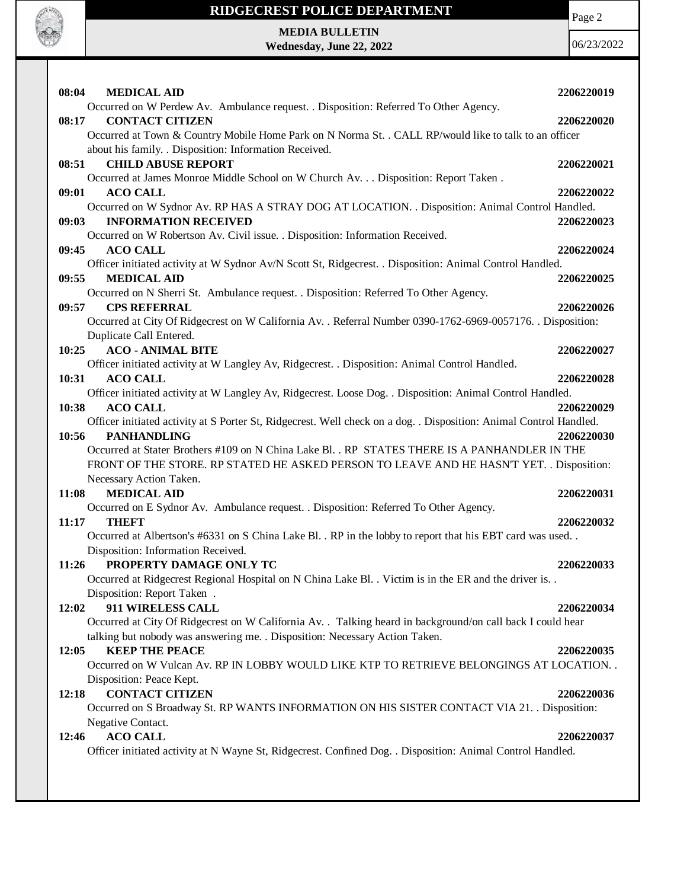

**MEDIA BULLETIN Wednesday, June 22, 2022** Page 2

| 08:04<br><b>MEDICAL AID</b>                                                                                        | 2206220019 |
|--------------------------------------------------------------------------------------------------------------------|------------|
| Occurred on W Perdew Av. Ambulance request. . Disposition: Referred To Other Agency.                               |            |
| <b>CONTACT CITIZEN</b><br>08:17                                                                                    | 2206220020 |
| Occurred at Town & Country Mobile Home Park on N Norma St. . CALL RP/would like to talk to an officer              |            |
| about his family. . Disposition: Information Received.<br><b>CHILD ABUSE REPORT</b><br>08:51                       | 2206220021 |
| Occurred at James Monroe Middle School on W Church Av. Disposition: Report Taken .                                 |            |
| 09:01<br><b>ACO CALL</b>                                                                                           | 2206220022 |
| Occurred on W Sydnor Av. RP HAS A STRAY DOG AT LOCATION. . Disposition: Animal Control Handled.                    |            |
| <b>INFORMATION RECEIVED</b><br>09:03                                                                               | 2206220023 |
| Occurred on W Robertson Av. Civil issue. . Disposition: Information Received.                                      |            |
| 09:45<br><b>ACO CALL</b>                                                                                           | 2206220024 |
| Officer initiated activity at W Sydnor Av/N Scott St, Ridgecrest. . Disposition: Animal Control Handled.           |            |
| <b>MEDICAL AID</b><br>09:55                                                                                        | 2206220025 |
| Occurred on N Sherri St. Ambulance request. . Disposition: Referred To Other Agency.                               |            |
| <b>CPS REFERRAL</b><br>09:57                                                                                       | 2206220026 |
| Occurred at City Of Ridgecrest on W California Av. . Referral Number 0390-1762-6969-0057176. . Disposition:        |            |
| Duplicate Call Entered.                                                                                            |            |
| <b>ACO - ANIMAL BITE</b><br>10:25                                                                                  | 2206220027 |
| Officer initiated activity at W Langley Av, Ridgecrest. . Disposition: Animal Control Handled.                     |            |
| <b>ACO CALL</b><br>10:31                                                                                           | 2206220028 |
| Officer initiated activity at W Langley Av, Ridgecrest. Loose Dog. . Disposition: Animal Control Handled.          |            |
| 10:38<br><b>ACO CALL</b>                                                                                           | 2206220029 |
| Officer initiated activity at S Porter St, Ridgecrest. Well check on a dog. . Disposition: Animal Control Handled. |            |
| 10:56<br><b>PANHANDLING</b>                                                                                        | 2206220030 |
| Occurred at Stater Brothers #109 on N China Lake Bl. . RP STATES THERE IS A PANHANDLER IN THE                      |            |
| FRONT OF THE STORE. RP STATED HE ASKED PERSON TO LEAVE AND HE HASN'T YET. . Disposition:                           |            |
| Necessary Action Taken.                                                                                            |            |
| 11:08<br><b>MEDICAL AID</b>                                                                                        | 2206220031 |
| Occurred on E Sydnor Av. Ambulance request. . Disposition: Referred To Other Agency.                               |            |
| 11:17<br><b>THEFT</b>                                                                                              | 2206220032 |
| Occurred at Albertson's #6331 on S China Lake Bl. . RP in the lobby to report that his EBT card was used. .        |            |
| Disposition: Information Received.                                                                                 |            |
| 11:26<br>PROPERTY DAMAGE ONLY TC                                                                                   | 2206220033 |
| Occurred at Ridgecrest Regional Hospital on N China Lake Bl. . Victim is in the ER and the driver is. .            |            |
| Disposition: Report Taken.                                                                                         |            |
| 911 WIRELESS CALL<br>12:02                                                                                         | 2206220034 |
| Occurred at City Of Ridgecrest on W California Av. . Talking heard in background/on call back I could hear         |            |
| talking but nobody was answering me. . Disposition: Necessary Action Taken.                                        |            |
| <b>KEEP THE PEACE</b><br>12:05                                                                                     | 2206220035 |
| Occurred on W Vulcan Av. RP IN LOBBY WOULD LIKE KTP TO RETRIEVE BELONGINGS AT LOCATION. .                          |            |
| Disposition: Peace Kept.                                                                                           |            |
| <b>CONTACT CITIZEN</b><br>12:18                                                                                    | 2206220036 |
| Occurred on S Broadway St. RP WANTS INFORMATION ON HIS SISTER CONTACT VIA 21. Disposition:                         |            |
| Negative Contact.                                                                                                  |            |
| <b>ACO CALL</b><br>12:46                                                                                           | 2206220037 |
| Officer initiated activity at N Wayne St, Ridgecrest. Confined Dog. . Disposition: Animal Control Handled.         |            |
|                                                                                                                    |            |
|                                                                                                                    |            |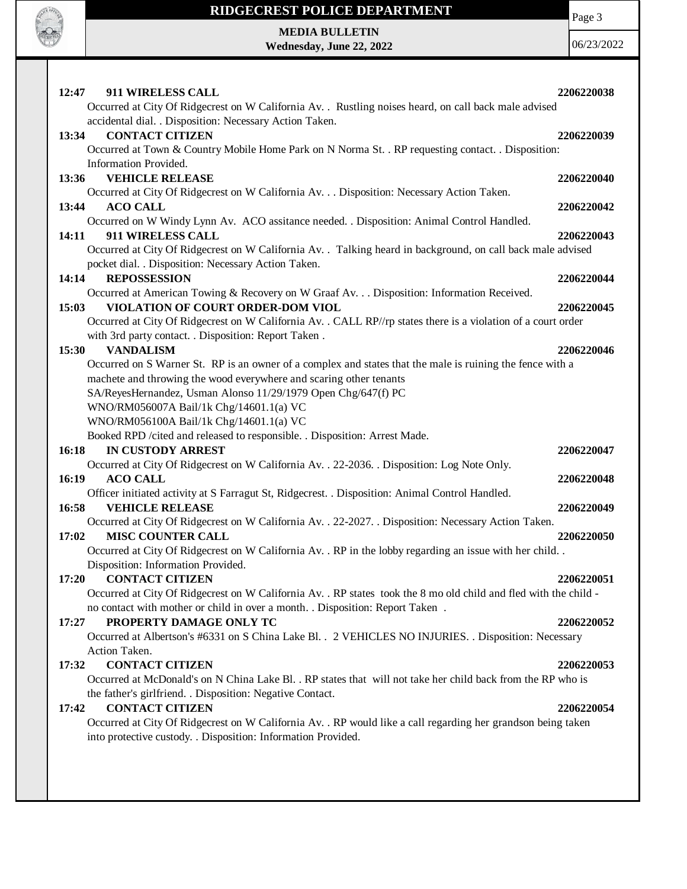

Page 3

**MEDIA BULLETIN Wednesday, June 22, 2022**

| 12:47<br>911 WIRELESS CALL<br>Occurred at City Of Ridgecrest on W California Av. . Rustling noises heard, on call back male advised                                                                                                                                                                                      | 2206220038               |
|--------------------------------------------------------------------------------------------------------------------------------------------------------------------------------------------------------------------------------------------------------------------------------------------------------------------------|--------------------------|
| accidental dial. . Disposition: Necessary Action Taken.<br><b>CONTACT CITIZEN</b><br>13:34<br>Occurred at Town & Country Mobile Home Park on N Norma St. . RP requesting contact. . Disposition:                                                                                                                         | 2206220039               |
| Information Provided.<br><b>VEHICLE RELEASE</b><br>13:36<br>Occurred at City Of Ridgecrest on W California Av. Disposition: Necessary Action Taken.                                                                                                                                                                      | 2206220040               |
| <b>ACO CALL</b><br>13:44<br>Occurred on W Windy Lynn Av. ACO assitance needed. . Disposition: Animal Control Handled.<br>911 WIRELESS CALL<br>14:11                                                                                                                                                                      | 2206220042<br>2206220043 |
| Occurred at City Of Ridgecrest on W California Av. . Talking heard in background, on call back male advised<br>pocket dial. . Disposition: Necessary Action Taken.                                                                                                                                                       |                          |
| 14:14<br><b>REPOSSESSION</b><br>Occurred at American Towing & Recovery on W Graaf Av. Disposition: Information Received.<br>VIOLATION OF COURT ORDER-DOM VIOL<br>15:03                                                                                                                                                   | 2206220044<br>2206220045 |
| Occurred at City Of Ridgecrest on W California Av. . CALL RP//rp states there is a violation of a court order<br>with 3rd party contact. . Disposition: Report Taken.                                                                                                                                                    |                          |
| 15:30<br><b>VANDALISM</b><br>Occurred on S Warner St. RP is an owner of a complex and states that the male is ruining the fence with a<br>machete and throwing the wood everywhere and scaring other tenants<br>SA/ReyesHernandez, Usman Alonso 11/29/1979 Open Chg/647(f) PC<br>WNO/RM056007A Bail/1k Chg/14601.1(a) VC | 2206220046               |
| WNO/RM056100A Bail/1k Chg/14601.1(a) VC<br>Booked RPD /cited and released to responsible. . Disposition: Arrest Made.<br><b>IN CUSTODY ARREST</b><br>16:18                                                                                                                                                               | 2206220047               |
| Occurred at City Of Ridgecrest on W California Av. . 22-2036. . Disposition: Log Note Only.<br>16:19<br><b>ACO CALL</b>                                                                                                                                                                                                  | 2206220048               |
| Officer initiated activity at S Farragut St, Ridgecrest. . Disposition: Animal Control Handled.<br>16:58<br><b>VEHICLE RELEASE</b><br>Occurred at City Of Ridgecrest on W California Av. . 22-2027. . Disposition: Necessary Action Taken.                                                                               | 2206220049               |
| <b>MISC COUNTER CALL</b><br>17:02<br>Occurred at City Of Ridgecrest on W California Av. . RP in the lobby regarding an issue with her child<br>Disposition: Information Provided.                                                                                                                                        | 2206220050               |
| <b>CONTACT CITIZEN</b><br>17:20<br>Occurred at City Of Ridgecrest on W California Av. . RP states took the 8 mo old child and fled with the child -<br>no contact with mother or child in over a month. . Disposition: Report Taken.                                                                                     | 2206220051               |
| 17:27<br>PROPERTY DAMAGE ONLY TC<br>Occurred at Albertson's #6331 on S China Lake Bl. . 2 VEHICLES NO INJURIES. . Disposition: Necessary                                                                                                                                                                                 | 2206220052               |
| Action Taken.<br><b>CONTACT CITIZEN</b><br>17:32<br>Occurred at McDonald's on N China Lake Bl. . RP states that will not take her child back from the RP who is                                                                                                                                                          | 2206220053               |
| the father's girlfriend. . Disposition: Negative Contact.<br>17:42<br><b>CONTACT CITIZEN</b><br>Occurred at City Of Ridgecrest on W California Av. . RP would like a call regarding her grandson being taken<br>into protective custody. . Disposition: Information Provided.                                            | 2206220054               |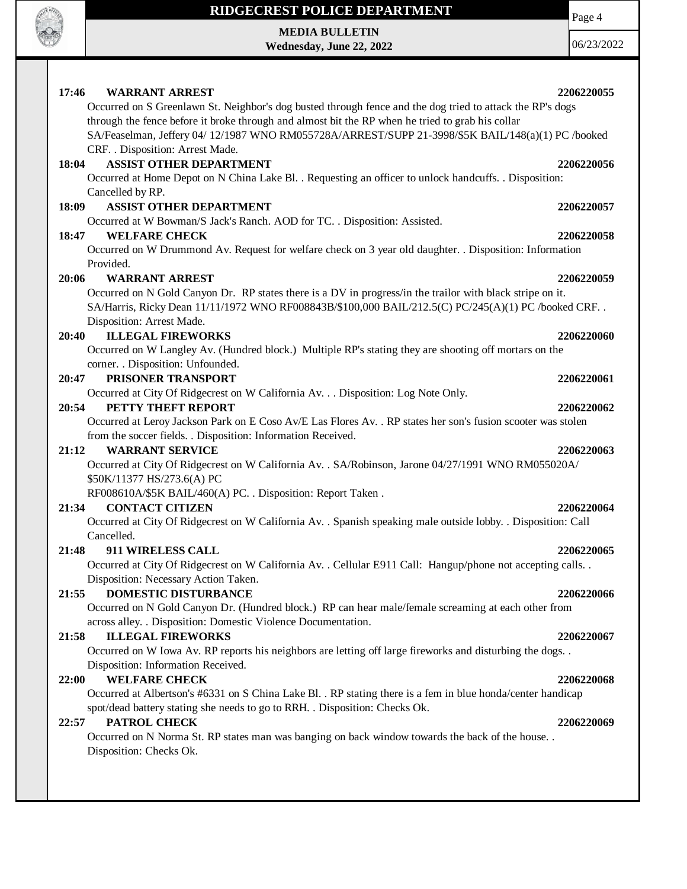

**MEDIA BULLETIN Wednesday, June 22, 2022** Page 4

| 17:46<br><b>WARRANT ARREST</b><br>2206220055                                                                                                                                                          |  |
|-------------------------------------------------------------------------------------------------------------------------------------------------------------------------------------------------------|--|
| Occurred on S Greenlawn St. Neighbor's dog busted through fence and the dog tried to attack the RP's dogs                                                                                             |  |
| through the fence before it broke through and almost bit the RP when he tried to grab his collar<br>SA/Feaselman, Jeffery 04/12/1987 WNO RM055728A/ARREST/SUPP 21-3998/\$5K BAIL/148(a)(1) PC /booked |  |
| CRF. . Disposition: Arrest Made.                                                                                                                                                                      |  |
| <b>ASSIST OTHER DEPARTMENT</b><br>18:04<br>2206220056                                                                                                                                                 |  |
| Occurred at Home Depot on N China Lake Bl. . Requesting an officer to unlock handcuffs. . Disposition:                                                                                                |  |
| Cancelled by RP.                                                                                                                                                                                      |  |
| <b>ASSIST OTHER DEPARTMENT</b><br>18:09<br>2206220057                                                                                                                                                 |  |
| Occurred at W Bowman/S Jack's Ranch. AOD for TC. . Disposition: Assisted.                                                                                                                             |  |
| <b>WELFARE CHECK</b><br>18:47<br>2206220058                                                                                                                                                           |  |
| Occurred on W Drummond Av. Request for welfare check on 3 year old daughter. . Disposition: Information                                                                                               |  |
| Provided.                                                                                                                                                                                             |  |
| <b>WARRANT ARREST</b><br>20:06<br>2206220059                                                                                                                                                          |  |
| Occurred on N Gold Canyon Dr. RP states there is a DV in progress/in the trailor with black stripe on it.                                                                                             |  |
| SA/Harris, Ricky Dean 11/11/1972 WNO RF008843B/\$100,000 BAIL/212.5(C) PC/245(A)(1) PC/booked CRF. .                                                                                                  |  |
| Disposition: Arrest Made.                                                                                                                                                                             |  |
| <b>ILLEGAL FIREWORKS</b><br>20:40<br>2206220060                                                                                                                                                       |  |
| Occurred on W Langley Av. (Hundred block.) Multiple RP's stating they are shooting off mortars on the                                                                                                 |  |
| corner. . Disposition: Unfounded.                                                                                                                                                                     |  |
| PRISONER TRANSPORT<br>20:47<br>2206220061                                                                                                                                                             |  |
| Occurred at City Of Ridgecrest on W California Av. Disposition: Log Note Only.                                                                                                                        |  |
| PETTY THEFT REPORT<br>20:54<br>2206220062                                                                                                                                                             |  |
| Occurred at Leroy Jackson Park on E Coso Av/E Las Flores Av. . RP states her son's fusion scooter was stolen                                                                                          |  |
| from the soccer fields. . Disposition: Information Received.                                                                                                                                          |  |
| 21:12<br><b>WARRANT SERVICE</b><br>2206220063                                                                                                                                                         |  |
| Occurred at City Of Ridgecrest on W California Av. . SA/Robinson, Jarone 04/27/1991 WNO RM055020A/                                                                                                    |  |
| \$50K/11377 HS/273.6(A) PC                                                                                                                                                                            |  |
| RF008610A/\$5K BAIL/460(A) PC. . Disposition: Report Taken.<br><b>CONTACT CITIZEN</b><br>21:34                                                                                                        |  |
| 2206220064<br>Occurred at City Of Ridgecrest on W California Av. . Spanish speaking male outside lobby. . Disposition: Call                                                                           |  |
| Cancelled.                                                                                                                                                                                            |  |
| 21:48<br>911 WIRELESS CALL<br>2206220065                                                                                                                                                              |  |
| Occurred at City Of Ridgecrest on W California Av. . Cellular E911 Call: Hangup/phone not accepting calls. .                                                                                          |  |
| Disposition: Necessary Action Taken.                                                                                                                                                                  |  |
| <b>DOMESTIC DISTURBANCE</b><br>21:55<br>2206220066                                                                                                                                                    |  |
| Occurred on N Gold Canyon Dr. (Hundred block.) RP can hear male/female screaming at each other from                                                                                                   |  |
| across alley. . Disposition: Domestic Violence Documentation.                                                                                                                                         |  |
| 21:58<br><b>ILLEGAL FIREWORKS</b><br>2206220067                                                                                                                                                       |  |
| Occurred on W Iowa Av. RP reports his neighbors are letting off large fireworks and disturbing the dogs. .                                                                                            |  |
| Disposition: Information Received.                                                                                                                                                                    |  |
| <b>WELFARE CHECK</b><br>22:00<br>2206220068                                                                                                                                                           |  |
| Occurred at Albertson's #6331 on S China Lake Bl. . RP stating there is a fem in blue honda/center handicap                                                                                           |  |
| spot/dead battery stating she needs to go to RRH. . Disposition: Checks Ok.                                                                                                                           |  |
| PATROL CHECK<br>22:57<br>2206220069                                                                                                                                                                   |  |
| Occurred on N Norma St. RP states man was banging on back window towards the back of the house                                                                                                        |  |
| Disposition: Checks Ok.                                                                                                                                                                               |  |
|                                                                                                                                                                                                       |  |
|                                                                                                                                                                                                       |  |